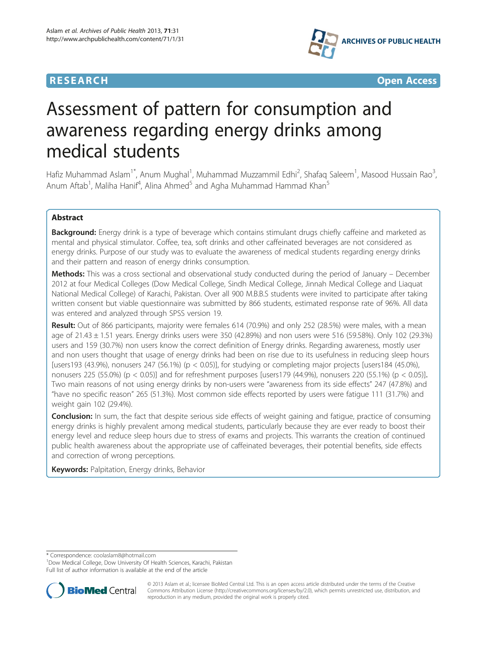



# Assessment of pattern for consumption and awareness regarding energy drinks among medical students

Hafiz Muhammad Aslam<sup>1\*</sup>, Anum Mughal<sup>1</sup>, Muhammad Muzzammil Edhi<sup>2</sup>, Shafaq Saleem<sup>1</sup>, Masood Hussain Rao<sup>3</sup> , Anum Aftab<sup>1</sup>, Maliha Hanif<sup>4</sup>, Alina Ahmed<sup>5</sup> and Agha Muhammad Hammad Khan<sup>5</sup>

## Abstract

Background: Energy drink is a type of beverage which contains stimulant drugs chiefly caffeine and marketed as mental and physical stimulator. Coffee, tea, soft drinks and other caffeinated beverages are not considered as energy drinks. Purpose of our study was to evaluate the awareness of medical students regarding energy drinks and their pattern and reason of energy drinks consumption.

Methods: This was a cross sectional and observational study conducted during the period of January – December 2012 at four Medical Colleges (Dow Medical College, Sindh Medical College, Jinnah Medical College and Liaquat National Medical College) of Karachi, Pakistan. Over all 900 M.B.B.S students were invited to participate after taking written consent but viable questionnaire was submitted by 866 students, estimated response rate of 96%. All data was entered and analyzed through SPSS version 19.

Result: Out of 866 participants, majority were females 614 (70.9%) and only 252 (28.5%) were males, with a mean age of 21.43 ± 1.51 years. Energy drinks users were 350 (42.89%) and non users were 516 (59.58%). Only 102 (29.3%) users and 159 (30.7%) non users know the correct definition of Energy drinks. Regarding awareness, mostly user and non users thought that usage of energy drinks had been on rise due to its usefulness in reducing sleep hours [users193 (43.9%), nonusers 247 (56.1%) ( $p < 0.05$ ], for studying or completing major projects [users184 (45.0%), nonusers 225 (55.0%) (p < 0.05)] and for refreshment purposes [users179 (44.9%), nonusers 220 (55.1%) (p < 0.05)]. Two main reasons of not using energy drinks by non-users were "awareness from its side effects" 247 (47.8%) and "have no specific reason" 265 (51.3%). Most common side effects reported by users were fatigue 111 (31.7%) and weight gain 102 (29.4%).

**Conclusion:** In sum, the fact that despite serious side effects of weight gaining and fatigue, practice of consuming energy drinks is highly prevalent among medical students, particularly because they are ever ready to boost their energy level and reduce sleep hours due to stress of exams and projects. This warrants the creation of continued public health awareness about the appropriate use of caffeinated beverages, their potential benefits, side effects and correction of wrong perceptions.

Keywords: Palpitation, Energy drinks, Behavior

\* Correspondence: [coolaslam8@hotmail.com](mailto:coolaslam8@hotmail.com) <sup>1</sup>

<sup>1</sup>Dow Medical College, Dow University Of Health Sciences, Karachi, Pakistan Full list of author information is available at the end of the article



© 2013 Aslam et al.; licensee BioMed Central Ltd. This is an open access article distributed under the terms of the Creative Commons Attribution License [\(http://creativecommons.org/licenses/by/2.0\)](http://creativecommons.org/licenses/by/2.0), which permits unrestricted use, distribution, and reproduction in any medium, provided the original work is properly cited.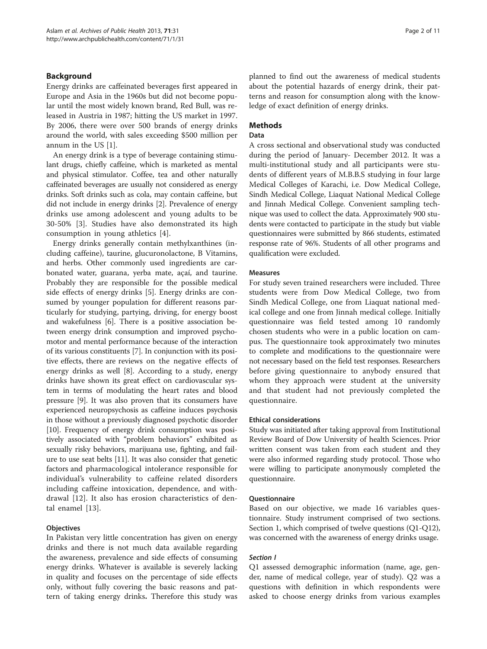## Background

Energy drinks are caffeinated beverages first appeared in Europe and Asia in the 1960s but did not become popular until the most widely known brand, Red Bull, was released in Austria in 1987; hitting the US market in 1997. By 2006, there were over 500 brands of energy drinks around the world, with sales exceeding \$500 million per annum in the US [\[1](#page-9-0)].

An energy drink is a type of beverage containing stimulant drugs, chiefly caffeine, which is marketed as mental and physical stimulator. Coffee, tea and other naturally caffeinated beverages are usually not considered as energy drinks. Soft drinks such as cola, may contain caffeine, but did not include in energy drinks [[2\]](#page-9-0). Prevalence of energy drinks use among adolescent and young adults to be 30-50% [\[3](#page-9-0)]. Studies have also demonstrated its high consumption in young athletics [\[4](#page-9-0)].

Energy drinks generally contain methylxanthines (including caffeine), taurine, glucuronolactone, B Vitamins, and herbs. Other commonly used ingredients are carbonated water, guarana, yerba mate, açaí, and taurine. Probably they are responsible for the possible medical side effects of energy drinks [[5\]](#page-9-0). Energy drinks are consumed by younger population for different reasons particularly for studying, partying, driving, for energy boost and wakefulness [\[6](#page-9-0)]. There is a positive association between energy drink consumption and improved psychomotor and mental performance because of the interaction of its various constituents [[7](#page-9-0)]. In conjunction with its positive effects, there are reviews on the negative effects of energy drinks as well [\[8](#page-9-0)]. According to a study, energy drinks have shown its great effect on cardiovascular system in terms of modulating the heart rates and blood pressure [\[9](#page-9-0)]. It was also proven that its consumers have experienced neuropsychosis as caffeine induces psychosis in those without a previously diagnosed psychotic disorder [[10](#page-9-0)]. Frequency of energy drink consumption was positively associated with "problem behaviors" exhibited as sexually risky behaviors, marijuana use, fighting, and failure to use seat belts [\[11\]](#page-9-0). It was also consider that genetic factors and pharmacological intolerance responsible for individual's vulnerability to caffeine related disorders including caffeine intoxication, dependence, and withdrawal [[12\]](#page-9-0). It also has erosion characteristics of dental enamel [[13](#page-10-0)].

## **Objectives**

In Pakistan very little concentration has given on energy drinks and there is not much data available regarding the awareness, prevalence and side effects of consuming energy drinks. Whatever is available is severely lacking in quality and focuses on the percentage of side effects only, without fully covering the basic reasons and pattern of taking energy drinks. Therefore this study was

planned to find out the awareness of medical students about the potential hazards of energy drink, their patterns and reason for consumption along with the knowledge of exact definition of energy drinks.

## Methods

## Data

A cross sectional and observational study was conducted during the period of January- December 2012. It was a multi-institutional study and all participants were students of different years of M.B.B.S studying in four large Medical Colleges of Karachi, i.e. Dow Medical College, Sindh Medical College, Liaquat National Medical College and Jinnah Medical College. Convenient sampling technique was used to collect the data. Approximately 900 students were contacted to participate in the study but viable questionnaires were submitted by 866 students, estimated response rate of 96%. Students of all other programs and qualification were excluded.

## Measures

For study seven trained researchers were included. Three students were from Dow Medical College, two from Sindh Medical College, one from Liaquat national medical college and one from Jinnah medical college. Initially questionnaire was field tested among 10 randomly chosen students who were in a public location on campus. The questionnaire took approximately two minutes to complete and modifications to the questionnaire were not necessary based on the field test responses. Researchers before giving questionnaire to anybody ensured that whom they approach were student at the university and that student had not previously completed the questionnaire.

## Ethical considerations

Study was initiated after taking approval from Institutional Review Board of Dow University of health Sciences. Prior written consent was taken from each student and they were also informed regarding study protocol. Those who were willing to participate anonymously completed the questionnaire.

## Questionnaire

Based on our objective, we made 16 variables questionnaire. Study instrument comprised of two sections. Section 1, which comprised of twelve questions (Q1-Q12), was concerned with the awareness of energy drinks usage.

## Section I

Q1 assessed demographic information (name, age, gender, name of medical college, year of study). Q2 was a questions with definition in which respondents were asked to choose energy drinks from various examples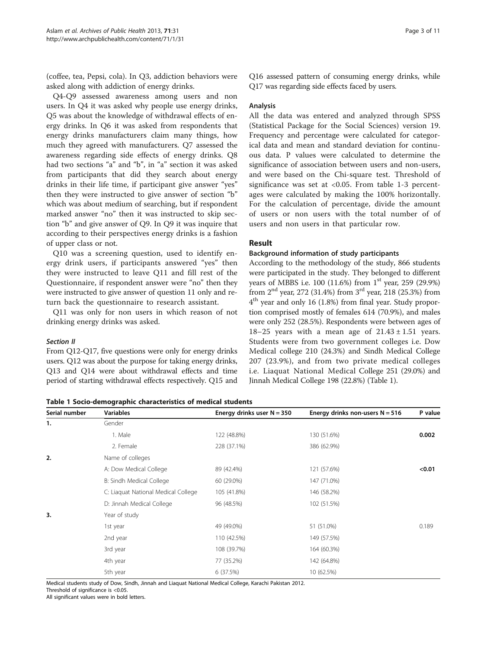(coffee, tea, Pepsi, cola). In Q3, addiction behaviors were asked along with addiction of energy drinks.

Q4-Q9 assessed awareness among users and non users. In Q4 it was asked why people use energy drinks, Q5 was about the knowledge of withdrawal effects of energy drinks. In Q6 it was asked from respondents that energy drinks manufacturers claim many things, how much they agreed with manufacturers. Q7 assessed the awareness regarding side effects of energy drinks. Q8 had two sections "a" and "b", in "a" section it was asked from participants that did they search about energy drinks in their life time, if participant give answer "yes" then they were instructed to give answer of section "b" which was about medium of searching, but if respondent marked answer "no" then it was instructed to skip section "b" and give answer of Q9. In Q9 it was inquire that according to their perspectives energy drinks is a fashion of upper class or not.

Q10 was a screening question, used to identify energy drink users, if participants answered "yes" then they were instructed to leave Q11 and fill rest of the Questionnaire, if respondent answer were "no" then they were instructed to give answer of question 11 only and return back the questionnaire to research assistant.

Q11 was only for non users in which reason of not drinking energy drinks was asked.

## Section II

From Q12-Q17, five questions were only for energy drinks users. Q12 was about the purpose for taking energy drinks, Q13 and Q14 were about withdrawal effects and time period of starting withdrawal effects respectively. Q15 and Q16 assessed pattern of consuming energy drinks, while Q17 was regarding side effects faced by users.

## Analysis

All the data was entered and analyzed through SPSS (Statistical Package for the Social Sciences) version 19. Frequency and percentage were calculated for categorical data and mean and standard deviation for continuous data. P values were calculated to determine the significance of association between users and non-users, and were based on the Chi-square test. Threshold of significance was set at <0.05. From table 1-3 percentages were calculated by making the 100% horizontally. For the calculation of percentage, divide the amount of users or non users with the total number of of users and non users in that particular row.

## Result

## Background information of study participants

According to the methodology of the study, 866 students were participated in the study. They belonged to different years of MBBS i.e. 100 (11.6%) from  $1<sup>st</sup>$  year, 259 (29.9%) from 2nd year, 272 (31.4%) from 3rd year, 218 (25.3%) from 4th year and only 16 (1.8%) from final year. Study proportion comprised mostly of females 614 (70.9%), and males were only 252 (28.5%). Respondents were between ages of 18–25 years with a mean age of  $21.43 \pm 1.51$  years. Students were from two government colleges i.e. Dow Medical college 210 (24.3%) and Sindh Medical College 207 (23.9%), and from two private medical colleges i.e. Liaquat National Medical College 251 (29.0%) and Jinnah Medical College 198 (22.8%) (Table 1).

| Serial number | <b>Variables</b>                    | Energy drinks user $N = 350$ | Energy drinks non-users $N = 516$ | P value |
|---------------|-------------------------------------|------------------------------|-----------------------------------|---------|
| 1.            | Gender                              |                              |                                   |         |
|               | 1. Male                             | 122 (48.8%)                  | 130 (51.6%)                       | 0.002   |
|               | 2. Female                           | 228 (37.1%)                  | 386 (62.9%)                       |         |
| 2.            | Name of colleges                    |                              |                                   |         |
|               | A: Dow Medical College              | 89 (42.4%)                   | 121 (57.6%)                       | < 0.01  |
|               | B: Sindh Medical College            | 60 (29.0%)                   | 147 (71.0%)                       |         |
|               | C: Liaquat National Medical College | 105 (41.8%)                  | 146 (58.2%)                       |         |
|               | D: Jinnah Medical College           | 96 (48.5%)                   | 102 (51.5%)                       |         |
| 3.            | Year of study                       |                              |                                   |         |
|               | 1st year                            | 49 (49.0%)                   | 51 (51.0%)                        | 0.189   |
|               | 2nd year                            | 110 (42.5%)                  | 149 (57.5%)                       |         |
|               | 3rd year                            | 108 (39.7%)                  | 164 (60.3%)                       |         |
|               | 4th year                            | 77 (35.2%)                   | 142 (64.8%)                       |         |
|               | 5th year                            | 6(37.5%)                     | 10 (62.5%)                        |         |

Medical students study of Dow, Sindh, Jinnah and Liaquat National Medical College, Karachi Pakistan 2012.

Threshold of significance is <0.05.

All significant values were in bold letters.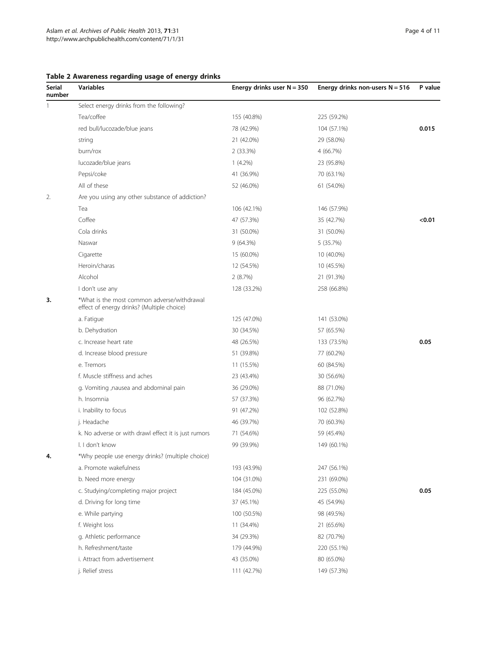| Serial<br>number | <b>Variables</b>                                                                          | Energy drinks user $N = 350$ | Energy drinks non-users $N = 516$ | P value |  |  |  |
|------------------|-------------------------------------------------------------------------------------------|------------------------------|-----------------------------------|---------|--|--|--|
| 1                | Select energy drinks from the following?                                                  |                              |                                   |         |  |  |  |
|                  | Tea/coffee                                                                                | 155 (40.8%)                  | 225 (59.2%)                       |         |  |  |  |
|                  | red bull/lucozade/blue jeans                                                              | 78 (42.9%)                   | 104 (57.1%)                       | 0.015   |  |  |  |
|                  | string                                                                                    | 21 (42.0%)                   | 29 (58.0%)                        |         |  |  |  |
|                  | burn/rox                                                                                  | 2(33.3%)                     | 4 (66.7%)                         |         |  |  |  |
|                  | lucozade/blue jeans                                                                       | $1(4.2\%)$                   | 23 (95.8%)                        |         |  |  |  |
|                  | Pepsi/coke                                                                                | 41 (36.9%)                   | 70 (63.1%)                        |         |  |  |  |
|                  | All of these                                                                              | 52 (46.0%)                   | 61 (54.0%)                        |         |  |  |  |
| 2.               | Are you using any other substance of addiction?                                           |                              |                                   |         |  |  |  |
|                  | Tea                                                                                       | 106 (42.1%)                  | 146 (57.9%)                       |         |  |  |  |
|                  | Coffee                                                                                    | 47 (57.3%)                   | 35 (42.7%)                        | < 0.01  |  |  |  |
|                  | Cola drinks                                                                               | 31 (50.0%)                   | 31 (50.0%)                        |         |  |  |  |
|                  | Naswar                                                                                    | 9(64.3%)                     | 5 (35.7%)                         |         |  |  |  |
|                  | Cigarette                                                                                 | 15 (60.0%)                   | 10 (40.0%)                        |         |  |  |  |
|                  | Heroin/charas                                                                             | 12 (54.5%)                   | 10 (45.5%)                        |         |  |  |  |
|                  | Alcohol                                                                                   | 2(8.7%)                      | 21 (91.3%)                        |         |  |  |  |
|                  | I don't use any                                                                           | 128 (33.2%)                  | 258 (66.8%)                       |         |  |  |  |
| 3.               | *What is the most common adverse/withdrawal<br>effect of energy drinks? (Multiple choice) |                              |                                   |         |  |  |  |
|                  | a. Fatigue                                                                                | 125 (47.0%)                  | 141 (53.0%)                       |         |  |  |  |
|                  | b. Dehydration                                                                            | 30 (34.5%)                   | 57 (65.5%)                        |         |  |  |  |
|                  | c. Increase heart rate                                                                    | 48 (26.5%)                   | 133 (73.5%)                       | 0.05    |  |  |  |
|                  | d. Increase blood pressure                                                                | 51 (39.8%)                   | 77 (60.2%)                        |         |  |  |  |
|                  | e. Tremors                                                                                | 11 (15.5%)                   | 60 (84.5%)                        |         |  |  |  |
|                  | f. Muscle stiffness and aches                                                             | 23 (43.4%)                   | 30 (56.6%)                        |         |  |  |  |
|                  | g. Vomiting , nausea and abdominal pain                                                   | 36 (29.0%)                   | 88 (71.0%)                        |         |  |  |  |
|                  | h. Insomnia                                                                               | 57 (37.3%)                   | 96 (62.7%)                        |         |  |  |  |
|                  | i. Inability to focus                                                                     | 91 (47.2%)                   | 102 (52.8%)                       |         |  |  |  |
|                  | j. Headache                                                                               | 46 (39.7%)                   | 70 (60.3%)                        |         |  |  |  |
|                  | k. No adverse or with drawl effect it is just rumors                                      | 71 (54.6%)                   | 59 (45.4%)                        |         |  |  |  |
|                  | I. I don't know                                                                           | 99 (39.9%)                   | 149 (60.1%)                       |         |  |  |  |
| 4.               | *Why people use energy drinks? (multiple choice)                                          |                              |                                   |         |  |  |  |
|                  | a. Promote wakefulness                                                                    | 193 (43.9%)                  | 247 (56.1%)                       |         |  |  |  |
|                  | b. Need more energy                                                                       | 104 (31.0%)                  | 231 (69.0%)                       |         |  |  |  |
|                  | c. Studying/completing major project                                                      | 184 (45.0%)                  | 225 (55.0%)                       | 0.05    |  |  |  |
|                  | d. Driving for long time                                                                  | 37 (45.1%)                   | 45 (54.9%)                        |         |  |  |  |
|                  | e. While partying                                                                         | 100 (50.5%)                  | 98 (49.5%)                        |         |  |  |  |
|                  | f. Weight loss                                                                            | 11 (34.4%)                   | 21 (65.6%)                        |         |  |  |  |
|                  | g. Athletic performance                                                                   | 34 (29.3%)                   | 82 (70.7%)                        |         |  |  |  |
|                  | h. Refreshment/taste                                                                      | 179 (44.9%)                  | 220 (55.1%)                       |         |  |  |  |
|                  | i. Attract from advertisement                                                             | 43 (35.0%)                   | 80 (65.0%)                        |         |  |  |  |
|                  | j. Relief stress                                                                          | 111 (42.7%)                  | 149 (57.3%)                       |         |  |  |  |

# <span id="page-3-0"></span>Table 2 Awareness regarding usage of energy drinks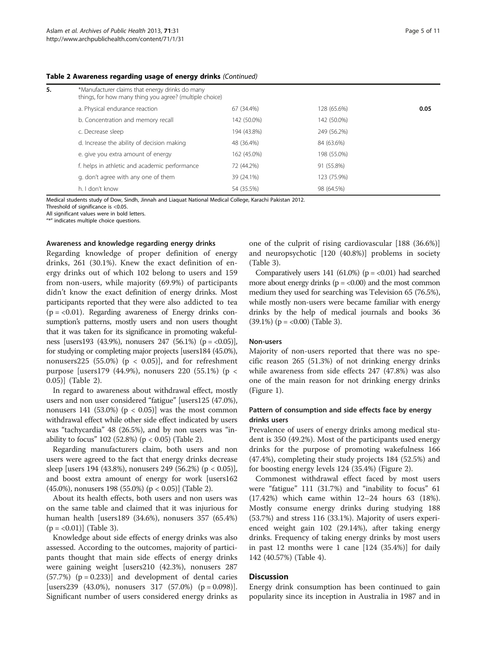#### Table 2 Awareness regarding usage of energy drinks (Continued)

| 5. | *Manufacturer claims that energy drinks do many<br>things, for how many thing you agree? (multiple choice) |             |             |      |
|----|------------------------------------------------------------------------------------------------------------|-------------|-------------|------|
|    | a. Physical endurance reaction                                                                             | 67 (34.4%)  | 128 (65.6%) | 0.05 |
|    | b. Concentration and memory recall                                                                         | 142 (50.0%) | 142 (50.0%) |      |
|    | c. Decrease sleep                                                                                          | 194 (43.8%) | 249 (56.2%) |      |
|    | d. Increase the ability of decision making                                                                 | 48 (36.4%)  | 84 (63.6%)  |      |
|    | e. give you extra amount of energy                                                                         | 162 (45.0%) | 198 (55.0%) |      |
|    | f. helps in athletic and academic performance                                                              | 72 (44.2%)  | 91 (55.8%)  |      |
|    | g. don't agree with any one of them                                                                        | 39 (24.1%)  | 123 (75.9%) |      |
|    | h. I don't know                                                                                            | 54 (35.5%)  | 98 (64.5%)  |      |

Medical students study of Dow, Sindh, Jinnah and Liaquat National Medical College, Karachi Pakistan 2012.

Threshold of significance is <0.05.

All significant values were in bold letters.

"\*" indicates multiple choice questions.

#### Awareness and knowledge regarding energy drinks

Regarding knowledge of proper definition of energy drinks, 261 (30.1%). Knew the exact definition of energy drinks out of which 102 belong to users and 159 from non-users, while majority (69.9%) of participants didn't know the exact definition of energy drinks. Most participants reported that they were also addicted to tea  $(p = < 0.01)$ . Regarding awareness of Energy drinks consumption's patterns, mostly users and non users thought that it was taken for its significance in promoting wakefulness [users193 (43.9%), nonusers 247 (56.1%) (p = <0.05)], for studying or completing major projects [users184 (45.0%), nonusers225 (55.0%) ( $p < 0.05$ ), and for refreshment purpose [users179 (44.9%), nonusers 220 (55.1%) (p < 0.05)] (Table [2](#page-3-0)).

In regard to awareness about withdrawal effect, mostly users and non user considered "fatigue" [users125 (47.0%), nonusers 141 (53.0%) ( $p < 0.05$ )] was the most common withdrawal effect while other side effect indicated by users was "tachycardia" 48 (26.5%), and by non users was "inability to focus" 102 (52.8%) (p < 0.05) (Table [2\)](#page-3-0).

Regarding manufacturers claim, both users and non users were agreed to the fact that energy drinks decrease sleep [users 194 (43.8%), nonusers 249 (56.2%) (p < 0.05)], and boost extra amount of energy for work [users162 (45.0%), nonusers 198 (55.0%) (p < 0.05)] (Table [2](#page-3-0)).

About its health effects, both users and non users was on the same table and claimed that it was injurious for human health [users189 (34.6%), nonusers 357 (65.4%)  $(p = <0.01)$ ] (Table [3](#page-5-0)).

Knowledge about side effects of energy drinks was also assessed. According to the outcomes, majority of participants thought that main side effects of energy drinks were gaining weight [users210 (42.3%), nonusers 287  $(57.7%)$   $(p = 0.233)$  and development of dental caries [users239 (43.0%), nonusers 317 (57.0%) ( $p = 0.098$ ]. Significant number of users considered energy drinks as one of the culprit of rising cardiovascular [188 (36.6%)] and neuropsychotic [120 (40.8%)] problems in society (Table [3\)](#page-5-0).

Comparatively users 141 (61.0%) ( $p = < 0.01$ ) had searched more about energy drinks ( $p = < 0.00$ ) and the most common medium they used for searching was Television 65 (76.5%), while mostly non-users were became familiar with energy drinks by the help of medical journals and books 36  $(39.1\%)$  (p = <0.00) (Table [3](#page-5-0)).

#### Non-users

Majority of non-users reported that there was no specific reason 265 (51.3%) of not drinking energy drinks while awareness from side effects 247 (47.8%) was also one of the main reason for not drinking energy drinks (Figure [1\)](#page-6-0).

## Pattern of consumption and side effects face by energy drinks users

Prevalence of users of energy drinks among medical student is 350 (49.2%). Most of the participants used energy drinks for the purpose of promoting wakefulness 166 (47.4%), completing their study projects 184 (52.5%) and for boosting energy levels 124 (35.4%) (Figure [2\)](#page-7-0).

Commonest withdrawal effect faced by most users were "fatigue" 111 (31.7%) and "inability to focus" 61 (17.42%) which came within 12–24 hours 63 (18%). Mostly consume energy drinks during studying 188 (53.7%) and stress 116 (33.1%). Majority of users experienced weight gain 102 (29.14%), after taking energy drinks. Frequency of taking energy drinks by most users in past 12 months were 1 cane [124 (35.4%)] for daily 142 (40.57%) (Table [4\)](#page-8-0).

## Discussion

Energy drink consumption has been continued to gain popularity since its inception in Australia in 1987 and in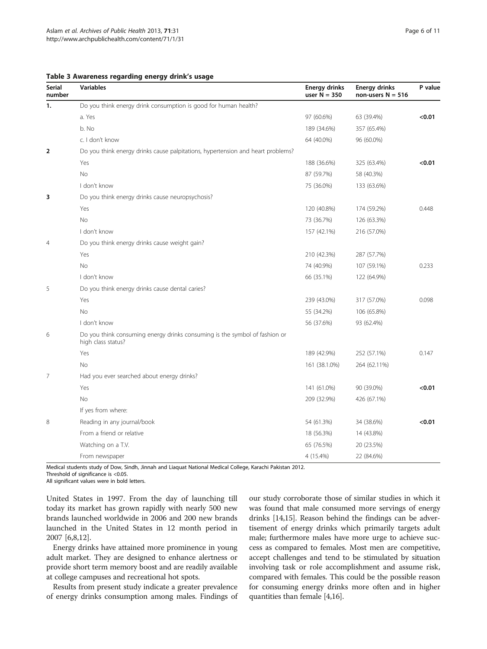| <b>Serial</b><br>number | <b>Variables</b>                                                                                 | <b>Energy drinks</b><br>user $N = 350$ | <b>Energy drinks</b><br>non-users $N = 516$ | P value |
|-------------------------|--------------------------------------------------------------------------------------------------|----------------------------------------|---------------------------------------------|---------|
| 1.                      | Do you think energy drink consumption is good for human health?                                  |                                        |                                             |         |
|                         | a. Yes                                                                                           | 97 (60.6%)                             | 63 (39.4%)                                  | < 0.01  |
|                         | b. No                                                                                            | 189 (34.6%)                            | 357 (65.4%)                                 |         |
|                         | c. I don't know                                                                                  | 64 (40.0%)                             | 96 (60.0%)                                  |         |
| $\overline{\mathbf{2}}$ | Do you think energy drinks cause palpitations, hypertension and heart problems?                  |                                        |                                             |         |
|                         | Yes                                                                                              | 188 (36.6%)                            | 325 (63.4%)                                 | < 0.01  |
|                         | No                                                                                               | 87 (59.7%)                             | 58 (40.3%)                                  |         |
|                         | I don't know                                                                                     | 75 (36.0%)                             | 133 (63.6%)                                 |         |
| 3                       | Do you think energy drinks cause neuropsychosis?                                                 |                                        |                                             |         |
|                         | Yes                                                                                              | 120 (40.8%)                            | 174 (59.2%)                                 | 0.448   |
|                         | <b>No</b>                                                                                        | 73 (36.7%)                             | 126 (63.3%)                                 |         |
|                         | I don't know                                                                                     | 157 (42.1%)                            | 216 (57.0%)                                 |         |
| 4                       | Do you think energy drinks cause weight gain?                                                    |                                        |                                             |         |
|                         | Yes                                                                                              | 210 (42.3%)                            | 287 (57.7%)                                 |         |
|                         | <b>No</b>                                                                                        | 74 (40.9%)                             | 107 (59.1%)                                 | 0.233   |
|                         | I don't know                                                                                     | 66 (35.1%)                             | 122 (64.9%)                                 |         |
| 5                       | Do you think energy drinks cause dental caries?                                                  |                                        |                                             |         |
|                         | Yes                                                                                              | 239 (43.0%)                            | 317 (57.0%)                                 | 0.098   |
|                         | <b>No</b>                                                                                        | 55 (34.2%)                             | 106 (65.8%)                                 |         |
|                         | I don't know                                                                                     | 56 (37.6%)                             | 93 (62.4%)                                  |         |
| 6                       | Do you think consuming energy drinks consuming is the symbol of fashion or<br>high class status? |                                        |                                             |         |
|                         | Yes                                                                                              | 189 (42.9%)                            | 252 (57.1%)                                 | 0.147   |
|                         | No                                                                                               | 161 (38.1.0%)                          | 264 (62.11%)                                |         |
| 7                       | Had you ever searched about energy drinks?                                                       |                                        |                                             |         |
|                         | Yes                                                                                              | 141 (61.0%)                            | 90 (39.0%)                                  | < 0.01  |
|                         | No                                                                                               | 209 (32.9%)                            | 426 (67.1%)                                 |         |
|                         | If yes from where:                                                                               |                                        |                                             |         |
| 8                       | Reading in any journal/book                                                                      | 54 (61.3%)                             | 34 (38.6%)                                  | < 0.01  |
|                         | From a friend or relative                                                                        | 18 (56.3%)                             | 14 (43.8%)                                  |         |
|                         | Watching on a T.V.                                                                               | 65 (76.5%)                             | 20 (23.5%)                                  |         |
|                         | From newspaper                                                                                   | 4 (15.4%)                              | 22 (84.6%)                                  |         |

#### <span id="page-5-0"></span>Table 3 Awareness regarding energy drink's usage

Medical students study of Dow, Sindh, Jinnah and Liaquat National Medical College, Karachi Pakistan 2012.

Threshold of significance is <0.05.

All significant values were in bold letters.

United States in 1997. From the day of launching till today its market has grown rapidly with nearly 500 new brands launched worldwide in 2006 and 200 new brands launched in the United States in 12 month period in 2007 [\[6](#page-9-0),[8](#page-9-0),[12](#page-9-0)].

Energy drinks have attained more prominence in young adult market. They are designed to enhance alertness or provide short term memory boost and are readily available at college campuses and recreational hot spots.

Results from present study indicate a greater prevalence of energy drinks consumption among males. Findings of our study corroborate those of similar studies in which it was found that male consumed more servings of energy drinks [[14,15](#page-10-0)]. Reason behind the findings can be advertisement of energy drinks which primarily targets adult male; furthermore males have more urge to achieve success as compared to females. Most men are competitive, accept challenges and tend to be stimulated by situation involving task or role accomplishment and assume risk, compared with females. This could be the possible reason for consuming energy drinks more often and in higher quantities than female [\[4,](#page-9-0)[16\]](#page-10-0).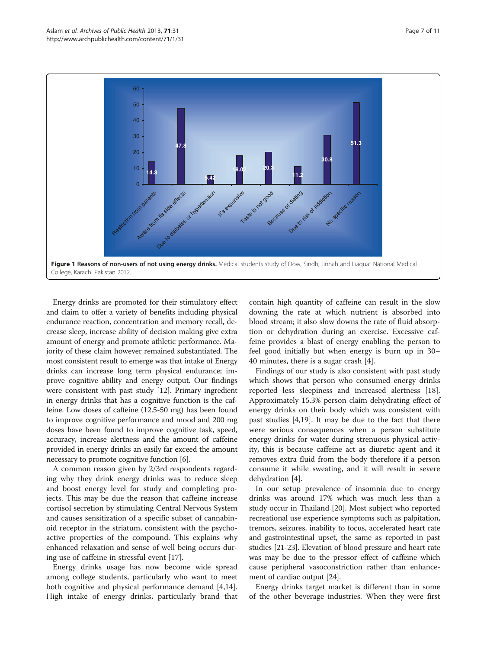<span id="page-6-0"></span>

Energy drinks are promoted for their stimulatory effect and claim to offer a variety of benefits including physical endurance reaction, concentration and memory recall, decrease sleep, increase ability of decision making give extra amount of energy and promote athletic performance. Majority of these claim however remained substantiated. The most consistent result to emerge was that intake of Energy drinks can increase long term physical endurance; improve cognitive ability and energy output. Our findings were consistent with past study [\[12\]](#page-9-0). Primary ingredient in energy drinks that has a cognitive function is the caffeine. Low doses of caffeine (12.5-50 mg) has been found to improve cognitive performance and mood and 200 mg doses have been found to improve cognitive task, speed, accuracy, increase alertness and the amount of caffeine provided in energy drinks an easily far exceed the amount necessary to promote cognitive function [\[6\]](#page-9-0).

A common reason given by 2/3rd respondents regarding why they drink energy drinks was to reduce sleep and boost energy level for study and completing projects. This may be due the reason that caffeine increase cortisol secretion by stimulating Central Nervous System and causes sensitization of a specific subset of cannabinoid receptor in the striatum, consistent with the psychoactive properties of the compound. This explains why enhanced relaxation and sense of well being occurs during use of caffeine in stressful event [\[17](#page-10-0)].

Energy drinks usage has now become wide spread among college students, particularly who want to meet both cognitive and physical performance demand [\[4](#page-9-0)[,14](#page-10-0)]. High intake of energy drinks, particularly brand that contain high quantity of caffeine can result in the slow downing the rate at which nutrient is absorbed into blood stream; it also slow downs the rate of fluid absorption or dehydration during an exercise. Excessive caffeine provides a blast of energy enabling the person to feel good initially but when energy is burn up in 30– 40 minutes, there is a sugar crash [[4\]](#page-9-0).

Findings of our study is also consistent with past study which shows that person who consumed energy drinks reported less sleepiness and increased alertness [\[18](#page-10-0)]. Approximately 15.3% person claim dehydrating effect of energy drinks on their body which was consistent with past studies [[4,](#page-9-0)[19\]](#page-10-0). It may be due to the fact that there were serious consequences when a person substitute energy drinks for water during strenuous physical activity, this is because caffeine act as diuretic agent and it removes extra fluid from the body therefore if a person consume it while sweating, and it will result in severe dehydration [[4\]](#page-9-0).

In our setup prevalence of insomnia due to energy drinks was around 17% which was much less than a study occur in Thailand [\[20\]](#page-10-0). Most subject who reported recreational use experience symptoms such as palpitation, tremors, seizures, inability to focus, accelerated heart rate and gastrointestinal upset, the same as reported in past studies [\[21-23](#page-10-0)]. Elevation of blood pressure and heart rate was may be due to the pressor effect of caffeine which cause peripheral vasoconstriction rather than enhancement of cardiac output [\[24\]](#page-10-0).

Energy drinks target market is different than in some of the other beverage industries. When they were first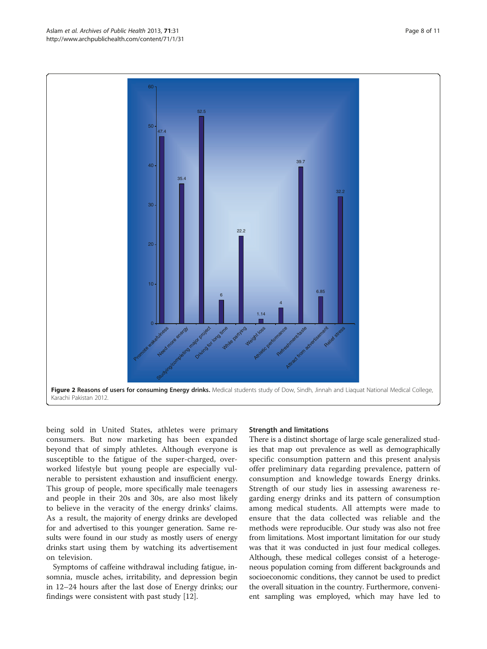being sold in United States, athletes were primary consumers. But now marketing has been expanded beyond that of simply athletes. Although everyone is susceptible to the fatigue of the super-charged, overworked lifestyle but young people are especially vulnerable to persistent exhaustion and insufficient energy. This group of people, more specifically male teenagers and people in their 20s and 30s, are also most likely to believe in the veracity of the energy drinks' claims. As a result, the majority of energy drinks are developed for and advertised to this younger generation. Same results were found in our study as mostly users of energy drinks start using them by watching its advertisement on television.

Symptoms of caffeine withdrawal including fatigue, insomnia, muscle aches, irritability, and depression begin in 12–24 hours after the last dose of Energy drinks; our findings were consistent with past study [\[12](#page-9-0)].

#### Strength and limitations

There is a distinct shortage of large scale generalized studies that map out prevalence as well as demographically specific consumption pattern and this present analysis offer preliminary data regarding prevalence, pattern of consumption and knowledge towards Energy drinks. Strength of our study lies in assessing awareness regarding energy drinks and its pattern of consumption among medical students. All attempts were made to ensure that the data collected was reliable and the methods were reproducible. Our study was also not free from limitations. Most important limitation for our study was that it was conducted in just four medical colleges. Although, these medical colleges consist of a heterogeneous population coming from different backgrounds and socioeconomic conditions, they cannot be used to predict the overall situation in the country. Furthermore, convenient sampling was employed, which may have led to

<span id="page-7-0"></span>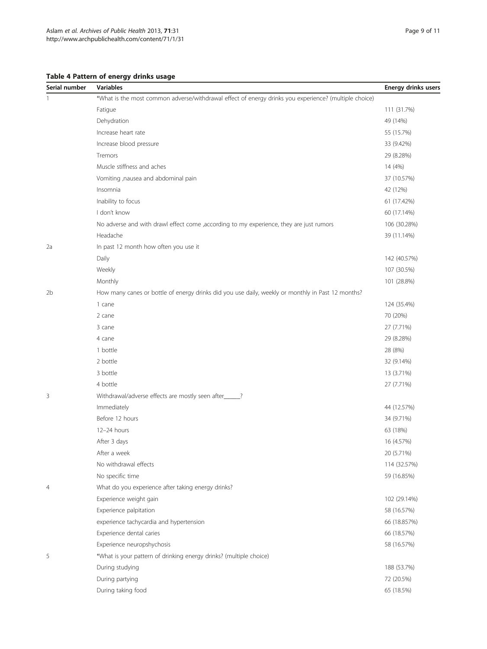# <span id="page-8-0"></span>Table 4 Pattern of energy drinks usage

| Serial number | <b>Variables</b>                                                                                      | <b>Energy drinks users</b> |  |  |
|---------------|-------------------------------------------------------------------------------------------------------|----------------------------|--|--|
|               | *What is the most common adverse/withdrawal effect of energy drinks you experience? (multiple choice) |                            |  |  |
|               | Fatigue                                                                                               | 111 (31.7%)                |  |  |
|               | Dehydration                                                                                           | 49 (14%)                   |  |  |
|               | Increase heart rate                                                                                   | 55 (15.7%)                 |  |  |
|               | Increase blood pressure                                                                               | 33 (9.42%)                 |  |  |
|               | Tremors                                                                                               | 29 (8.28%)                 |  |  |
|               | Muscle stiffness and aches                                                                            | 14 (4%)                    |  |  |
|               | Vomiting , nausea and abdominal pain                                                                  | 37 (10.57%)                |  |  |
|               | Insomnia                                                                                              | 42 (12%)                   |  |  |
|               | Inability to focus                                                                                    | 61 (17.42%)                |  |  |
|               | I don't know                                                                                          | 60 (17.14%)                |  |  |
|               | No adverse and with drawl effect come ,according to my experience, they are just rumors               | 106 (30.28%)               |  |  |
|               | Headache                                                                                              | 39 (11.14%)                |  |  |
| 2a            | In past 12 month how often you use it                                                                 |                            |  |  |
|               | Daily                                                                                                 | 142 (40.57%)               |  |  |
|               | Weekly                                                                                                | 107 (30.5%)                |  |  |
|               | Monthly                                                                                               | 101 (28.8%)                |  |  |
| 2b            | How many canes or bottle of energy drinks did you use daily, weekly or monthly in Past 12 months?     |                            |  |  |
|               | 1 cane                                                                                                | 124 (35.4%)                |  |  |
|               | 2 cane                                                                                                | 70 (20%)                   |  |  |
|               | 3 cane                                                                                                | 27 (7.71%)                 |  |  |
|               | 4 cane                                                                                                | 29 (8.28%)                 |  |  |
|               | 1 bottle                                                                                              | 28 (8%)                    |  |  |
|               | 2 bottle                                                                                              | 32 (9.14%)                 |  |  |
|               | 3 bottle                                                                                              | 13 (3.71%)                 |  |  |
|               | 4 bottle                                                                                              | 27 (7.71%)                 |  |  |
| 3             | Withdrawal/adverse effects are mostly seen after_____?                                                |                            |  |  |
|               | Immediately                                                                                           | 44 (12.57%)                |  |  |
|               | Before 12 hours                                                                                       | 34 (9.71%)                 |  |  |
|               | 12-24 hours                                                                                           | 63 (18%)                   |  |  |
|               | After 3 days                                                                                          | 16 (4.57%)                 |  |  |
|               | After a week                                                                                          | 20 (5.71%)                 |  |  |
|               | No withdrawal effects                                                                                 | 114 (32.57%)               |  |  |
|               | No specific time                                                                                      | 59 (16.85%)                |  |  |
| 4             | What do you experience after taking energy drinks?                                                    |                            |  |  |
|               | Experience weight gain                                                                                | 102 (29.14%)               |  |  |
|               | Experience palpitation                                                                                | 58 (16.57%)                |  |  |
|               | experience tachycardia and hypertension                                                               | 66 (18.857%)               |  |  |
|               | Experience dental caries                                                                              | 66 (18.57%)                |  |  |
|               | Experience neuropshychosis                                                                            | 58 (16.57%)                |  |  |
| 5             | *What is your pattern of drinking energy drinks? (multiple choice)                                    |                            |  |  |
|               | During studying                                                                                       | 188 (53.7%)                |  |  |
|               | During partying                                                                                       | 72 (20.5%)                 |  |  |
|               | During taking food                                                                                    | 65 (18.5%)                 |  |  |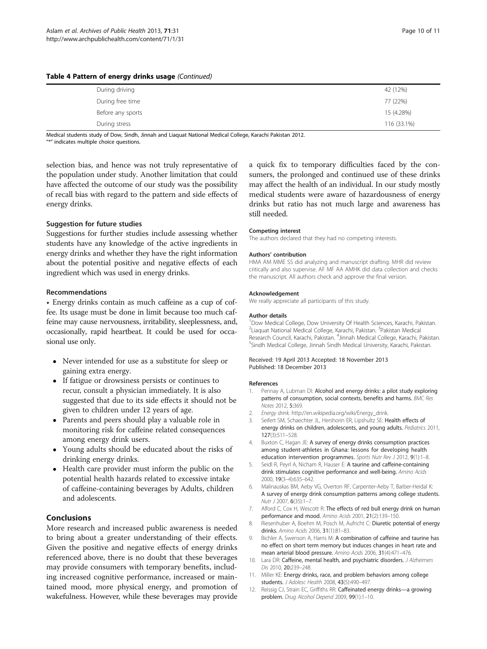<span id="page-9-0"></span>

|  | Table 4 Pattern of energy drinks usage (Continued) |  |
|--|----------------------------------------------------|--|
|--|----------------------------------------------------|--|

| During driving    | 42 (12%)    |
|-------------------|-------------|
| During free time  | 77 (22%)    |
| Before any sports | 15 (4.28%)  |
| During stress     | 116 (33.1%) |

Medical students study of Dow, Sindh, Jinnah and Liaquat National Medical College, Karachi Pakistan 2012. "\*" indicates multiple choice questions.

selection bias, and hence was not truly representative of the population under study. Another limitation that could have affected the outcome of our study was the possibility of recall bias with regard to the pattern and side effects of energy drinks.

## Suggestion for future studies

Suggestions for further studies include assessing whether students have any knowledge of the active ingredients in energy drinks and whether they have the right information about the potential positive and negative effects of each ingredient which was used in energy drinks.

## Recommendations

• Energy drinks contain as much caffeine as a cup of coffee. Its usage must be done in limit because too much caffeine may cause nervousness, irritability, sleeplessness, and, occasionally, rapid heartbeat. It could be used for occasional use only.

- Never intended for use as a substitute for sleep or gaining extra energy.
- If fatigue or drowsiness persists or continues to recur, consult a physician immediately. It is also suggested that due to its side effects it should not be given to children under 12 years of age.
- Parents and peers should play a valuable role in monitoring risk for caffeine related consequences among energy drink users.
- Young adults should be educated about the risks of drinking energy drinks.
- Health care provider must inform the public on the potential health hazards related to excessive intake of caffeine-containing beverages by Adults, children and adolescents.

## Conclusions

More research and increased public awareness is needed to bring about a greater understanding of their effects. Given the positive and negative effects of energy drinks referenced above, there is no doubt that these beverages may provide consumers with temporary benefits, including increased cognitive performance, increased or maintained mood, more physical energy, and promotion of wakefulness. However, while these beverages may provide

a quick fix to temporary difficulties faced by the consumers, the prolonged and continued use of these drinks may affect the health of an individual. In our study mostly medical students were aware of hazardousness of energy drinks but ratio has not much large and awareness has still needed.

#### Competing interest

The authors declared that they had no competing interests.

#### Authors' contribution

HMA AM MME SS did analyzing and manuscript drafting. MHR did review critically and also supervise. AF MF AA AMHK did data collection and checks the manuscript. All authors check and approve the final version.

#### Acknowledgement

We really appreciate all participants of this study.

#### Author details

<sup>1</sup>Dow Medical College, Dow University Of Health Sciences, Karachi, Pakistan <sup>2</sup> Liaquat National Medical College, Karachi, Pakistan. <sup>3</sup> Pakistan Medical Research Council, Karachi, Pakistan. <sup>4</sup>Jinnah Medical College, Karachi, Pakistan.<br><sup>5</sup>Sindh Medical College, Jinnah Sindh Medical University, Karachi, Pakistan. Sindh Medical College, Jinnah Sindh Medical University, Karachi, Pakistan.

#### Received: 19 April 2013 Accepted: 18 November 2013 Published: 18 December 2013

#### References

- 1. Pennay A, Lubman DI: Alcohol and energy drinks: a pilot study exploring patterns of consumption, social contexts, benefits and harms. BMC Res Notes 2012, 5:369.
- 2. Energy drink. [http://en.wikipedia.org/wiki/Energy\\_drink](http://en.wikipedia.org/wiki/Energy_drink).
- 3. Seifert SM, Schaechter JL, Hershorin ER, Lipshultz SE: Health effects of energy drinks on children, adolescents, and young adults. Pediatrics 2011, 127(3):511–528.
- 4. Buxton C, Hagan JE: A survey of energy drinks consumption practices among student-athletes in Ghana: lessons for developing health education intervention programmes. Sports Nutr Rev J 2012, 9(1):1-8.
- 5. Seidl R, Peyrl A, Nicham R, Hauser E: A taurine and caffeine-containing drink stimulates cognitive performance and well-being. Amino Acids 2000, 19(3–4):635–642.
- 6. Malinauskas BM, Aeby VG, Overton RF, Carpenter-Aeby T, Barber-Heidal K: A survey of energy drink consumption patterns among college students. Nutr J 2007, 6(35):1–7.
- 7. Alford C, Cox H, Wescott R: The effects of red bull energy drink on human performance and mood. Amino Acids 2001, 21(2):139-150.
- 8. Riesenhuber A, Boehm M, Posch M, Aufricht C: Diuretic potential of energy drinks. Amino Acids 2006, 31(1):81–83.
- 9. Bichler A, Swenson A, Harris M: A combination of caffeine and taurine has no effect on short term memory but induces changes in heart rate and mean arterial blood pressure. Amino Acids 2006, 31(4):471–476.
- 10. Lara DR: Caffeine, mental health, and psychiatric disorders. J Alzheimers Dis 2010, 20:239–248.
- 11. Miller KE: Energy drinks, race, and problem behaviors among college students. J Adolesc Health 2008, 43(5):490–497.
- 12. Reissig CJ, Strain EC, Griffiths RR: Caffeinated energy drinks-a growing problem. Drug Alcohol Depend 2009, 99(1):1–10.